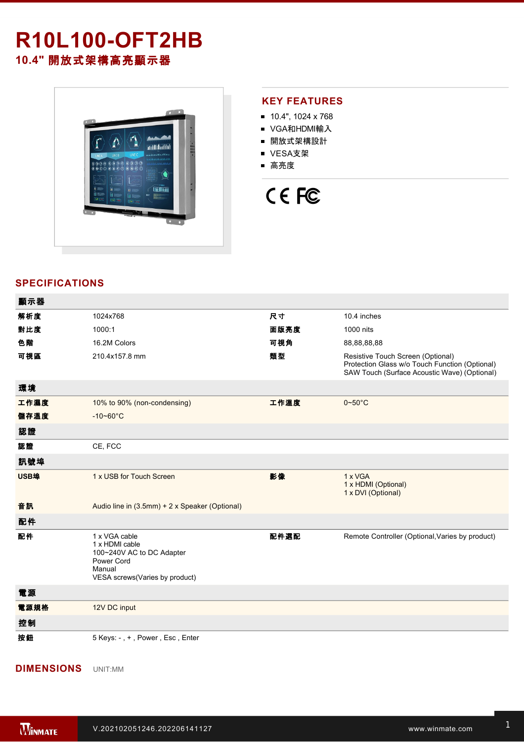## **R10L100-OFT2HB 10.4"** 開放式架構高亮顯示器



#### **KEY FEATURES**

- 10.4", 1024 x 768
- VGA和HDMI輸入
- 開放式架構設計
- VESA支架
- 高亮度

# CE FC

### **SPECIFICATIONS**

| 顯示器  |                                                                                                                        |      |                                                                                                                                     |
|------|------------------------------------------------------------------------------------------------------------------------|------|-------------------------------------------------------------------------------------------------------------------------------------|
| 解析度  | 1024x768                                                                                                               | 尺寸   | 10.4 inches                                                                                                                         |
| 對比度  | 1000:1                                                                                                                 | 面版亮度 | 1000 nits                                                                                                                           |
| 色階   | 16.2M Colors                                                                                                           | 可視角  | 88,88,88,88                                                                                                                         |
| 可視區  | 210.4x157.8 mm                                                                                                         | 類型   | Resistive Touch Screen (Optional)<br>Protection Glass w/o Touch Function (Optional)<br>SAW Touch (Surface Acoustic Wave) (Optional) |
| 環境   |                                                                                                                        |      |                                                                                                                                     |
| 工作濕度 | 10% to 90% (non-condensing)                                                                                            | 工作溫度 | $0\neg 50^\circ C$                                                                                                                  |
| 儲存溫度 | $-10 - 60^{\circ}$ C                                                                                                   |      |                                                                                                                                     |
| 認證   |                                                                                                                        |      |                                                                                                                                     |
| 認證   | CE, FCC                                                                                                                |      |                                                                                                                                     |
| 訊號埠  |                                                                                                                        |      |                                                                                                                                     |
| USB埠 | 1 x USB for Touch Screen                                                                                               | 影像   | 1 x VGA<br>1 x HDMI (Optional)<br>1 x DVI (Optional)                                                                                |
| 音訊   | Audio line in (3.5mm) + 2 x Speaker (Optional)                                                                         |      |                                                                                                                                     |
| 配件   |                                                                                                                        |      |                                                                                                                                     |
| 配件   | 1 x VGA cable<br>1 x HDMI cable<br>100~240V AC to DC Adapter<br>Power Cord<br>Manual<br>VESA screws(Varies by product) | 配件選配 | Remote Controller (Optional, Varies by product)                                                                                     |
| 電源   |                                                                                                                        |      |                                                                                                                                     |
| 電源規格 | 12V DC input                                                                                                           |      |                                                                                                                                     |
| 控制   |                                                                                                                        |      |                                                                                                                                     |
| 按鈕   | 5 Keys: -, +, Power, Esc, Enter                                                                                        |      |                                                                                                                                     |

#### **DIMENSIONS**  UNIT:MM